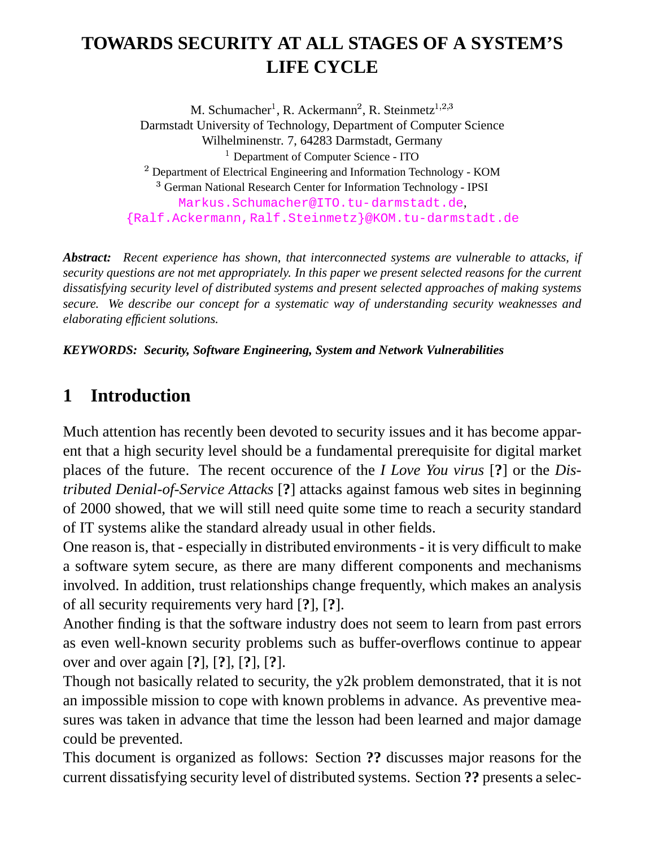# **TOWARDS SECURITY AT ALL STAGES OF A SYSTEM'S LIFE CYCLE**

M. Schumacher<sup>1</sup>, R. Ackermann<sup>2</sup>, R. Steinmetz<sup>1,2,3</sup>

Darmstadt University of Technology, Department of Computer Science

Wilhelminenstr. 7, 64283 Darmstadt, Germany

<sup>1</sup> Department of Computer Science - ITO

 $2$  Department of Electrical Engineering and Information Technology - KOM

<sup>3</sup> German National Research Center for Information Technology - IPSI Markus.Schumacher@ITO.tu-darmstadt.de, {Ralf.Ackermann,Ralf.Steinmetz}@KOM.tu-darmstadt.de

*Abstract: Recent experience has shown, that interconnected systems are vulnerable to attacks, if security questions are not met appropriately. In this paper we present selected reasons for the current dissatisfying security level of distributed systems and present selected approaches of making systems secure. We describe our concept for a systematic way of understanding security weaknesses and elaborating efficient solutions.*

#### *KEYWORDS: Security, Software Engineering, System and Network Vulnerabilities*

## **1 Introduction**

Much attention has recently been devoted to security issues and it has become apparent that a high security level should be a fundamental prerequisite for digital market places of the future. The recent occurence of the *I Love You virus* [**?**] or the *Distributed Denial-of-Service Attacks* [**?**] attacks against famous web sites in beginning of 2000 showed, that we will still need quite some time to reach a security standard of IT systems alike the standard already usual in other fields.

One reason is, that - especially in distributed environments- it is very difficult to make a software sytem secure, as there are many different components and mechanisms involved. In addition, trust relationships change frequently, which makes an analysis of all security requirements very hard [**?**], [**?**].

Another finding is that the software industry does not seem to learn from past errors as even well-known security problems such as buffer-overflows continue to appear over and over again [**?**], [**?**], [**?**], [**?**].

Though not basically related to security, the y2k problem demonstrated, that it is not an impossible mission to cope with known problems in advance. As preventive measures was taken in advance that time the lesson had been learned and major damage could be prevented.

This document is organized as follows: Section **??** discusses major reasons for the current dissatisfying security level of distributed systems. Section **??** presents a selec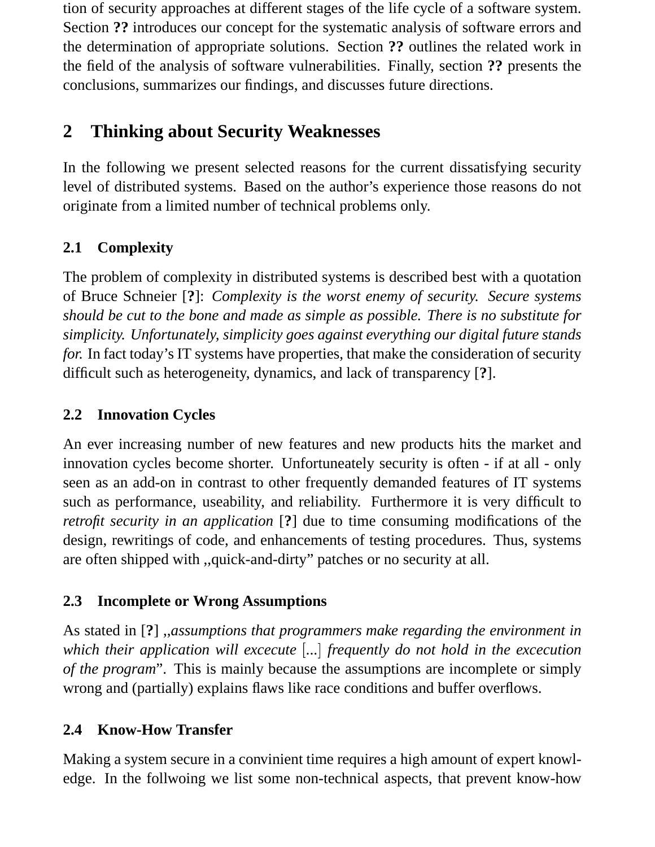tion of security approaches at different stages of the life cycle of a software system. Section **??** introduces our concept for the systematic analysis of software errors and the determination of appropriate solutions. Section **??** outlines the related work in the field of the analysis of software vulnerabilities. Finally, section **??** presents the conclusions, summarizes our findings, and discusses future directions.

# **2 Thinking about Security Weaknesses**

In the following we present selected reasons for the current dissatisfying security level of distributed systems. Based on the author's experience those reasons do not originate from a limited number of technical problems only.

## **2.1 Complexity**

The problem of complexity in distributed systems is described best with a quotation of Bruce Schneier [**?**]: *Complexity is the worst enemy of security. Secure systems should be cut to the bone and made as simple as possible. There is no substitute for simplicity. Unfortunately, simplicity goes against everything our digital future stands for.* In fact today's IT systems have properties, that make the consideration of security difficult such as heterogeneity, dynamics, and lack of transparency [**?**].

#### **2.2 Innovation Cycles**

An ever increasing number of new features and new products hits the market and innovation cycles become shorter. Unfortuneately security is often - if at all - only seen as an add-on in contrast to other frequently demanded features of IT systems such as performance, useability, and reliability. Furthermore it is very difficult to *retrofit security in an application* [**?**] due to time consuming modifications of the design, rewritings of code, and enhancements of testing procedures. Thus, systems are often shipped with ,,quick-and-dirty" patches or no security at all.

#### **2.3 Incomplete or Wrong Assumptions**

As stated in [**?**] ,,*assumptions that programmers make regarding the environment in which their application will excecute ... frequently do not hold in the excecution of the program*". This is mainly because the assumptions are incomplete or simply wrong and (partially) explains flaws like race conditions and buffer overflows.

### **2.4 Know-How Transfer**

Making a system secure in a convinient time requires a high amount of expert knowledge. In the follwoing we list some non-technical aspects, that prevent know-how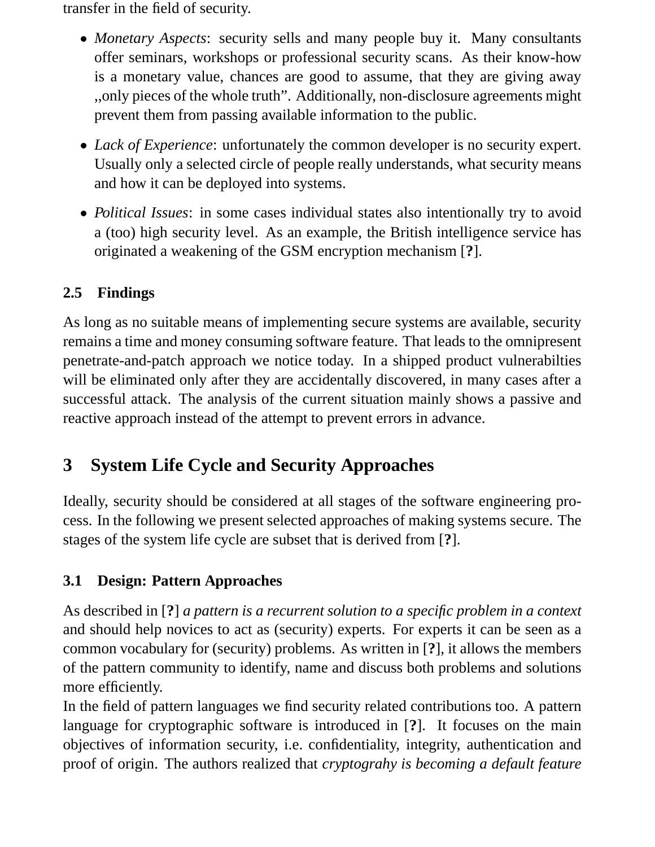transfer in the field of security.

- *Monetary Aspects*: security sells and many people buy it. Many consultants offer seminars, workshops or professional security scans. As their know-how is a monetary value, chances are good to assume, that they are giving away ,,only pieces of the whole truth". Additionally, non-disclosure agreements might prevent them from passing available information to the public.
- *Lack of Experience*: unfortunately the common developer is no security expert. Usually only a selected circle of people really understands, what security means and how it can be deployed into systems.
- *Political Issues*: in some cases individual states also intentionally try to avoid a (too) high security level. As an example, the British intelligence service has originated a weakening of the GSM encryption mechanism [**?**].

## **2.5 Findings**

As long as no suitable means of implementing secure systems are available, security remains a time and money consuming software feature. That leads to the omnipresent penetrate-and-patch approach we notice today. In a shipped product vulnerabilties will be eliminated only after they are accidentally discovered, in many cases after a successful attack. The analysis of the current situation mainly shows a passive and reactive approach instead of the attempt to prevent errors in advance.

# **3 System Life Cycle and Security Approaches**

Ideally, security should be considered at all stages of the software engineering process. In the following we present selected approaches of making systems secure. The stages of the system life cycle are subset that is derived from [**?**].

## **3.1 Design: Pattern Approaches**

As described in [**?**] *a pattern is a recurrent solution to a specific problem in a context* and should help novices to act as (security) experts. For experts it can be seen as a common vocabulary for (security) problems. As written in [**?**], it allows the members of the pattern community to identify, name and discuss both problems and solutions more efficiently.

In the field of pattern languages we find security related contributions too. A pattern language for cryptographic software is introduced in [**?**]. It focuses on the main objectives of information security, i.e. confidentiality, integrity, authentication and proof of origin. The authors realized that *cryptograhy is becoming a default feature*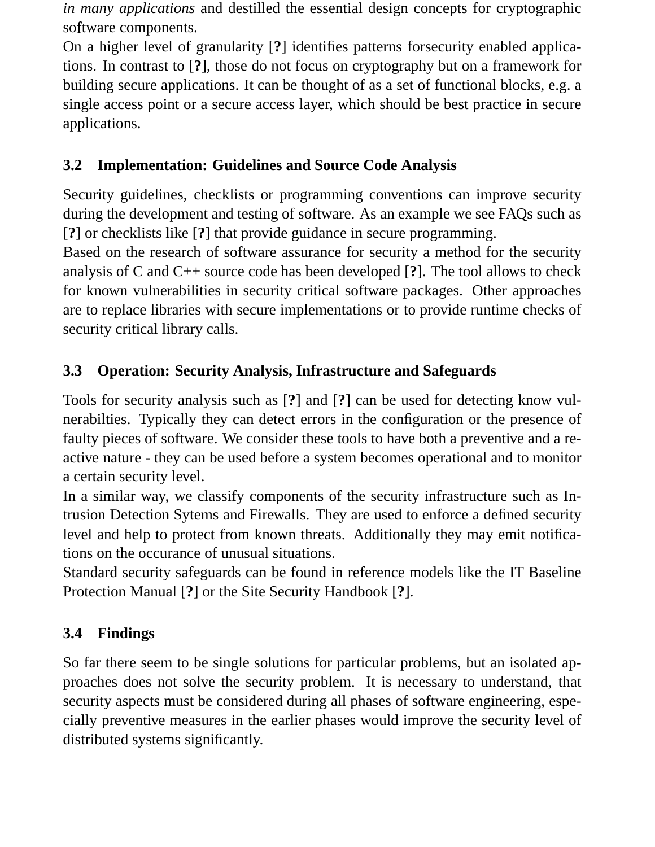*in many applications* and destilled the essential design concepts for cryptographic software components.

On a higher level of granularity [**?**] identifies patterns forsecurity enabled applications. In contrast to [**?**], those do not focus on cryptography but on a framework for building secure applications. It can be thought of as a set of functional blocks, e.g. a single access point or a secure access layer, which should be best practice in secure applications.

### **3.2 Implementation: Guidelines and Source Code Analysis**

Security guidelines, checklists or programming conventions can improve security during the development and testing of software. As an example we see FAQs such as [**?**] or checklists like [**?**] that provide guidance in secure programming.

Based on the research of software assurance for security a method for the security analysis of C and C++ source code has been developed [**?**]. The tool allows to check for known vulnerabilities in security critical software packages. Other approaches are to replace libraries with secure implementations or to provide runtime checks of security critical library calls.

### **3.3 Operation: Security Analysis, Infrastructure and Safeguards**

Tools for security analysis such as [**?**] and [**?**] can be used for detecting know vulnerabilties. Typically they can detect errors in the configuration or the presence of faulty pieces of software. We consider these tools to have both a preventive and a reactive nature - they can be used before a system becomes operational and to monitor a certain security level.

In a similar way, we classify components of the security infrastructure such as Intrusion Detection Sytems and Firewalls. They are used to enforce a defined security level and help to protect from known threats. Additionally they may emit notifications on the occurance of unusual situations.

Standard security safeguards can be found in reference models like the IT Baseline Protection Manual [**?**] or the Site Security Handbook [**?**].

### **3.4 Findings**

So far there seem to be single solutions for particular problems, but an isolated approaches does not solve the security problem. It is necessary to understand, that security aspects must be considered during all phases of software engineering, especially preventive measures in the earlier phases would improve the security level of distributed systems significantly.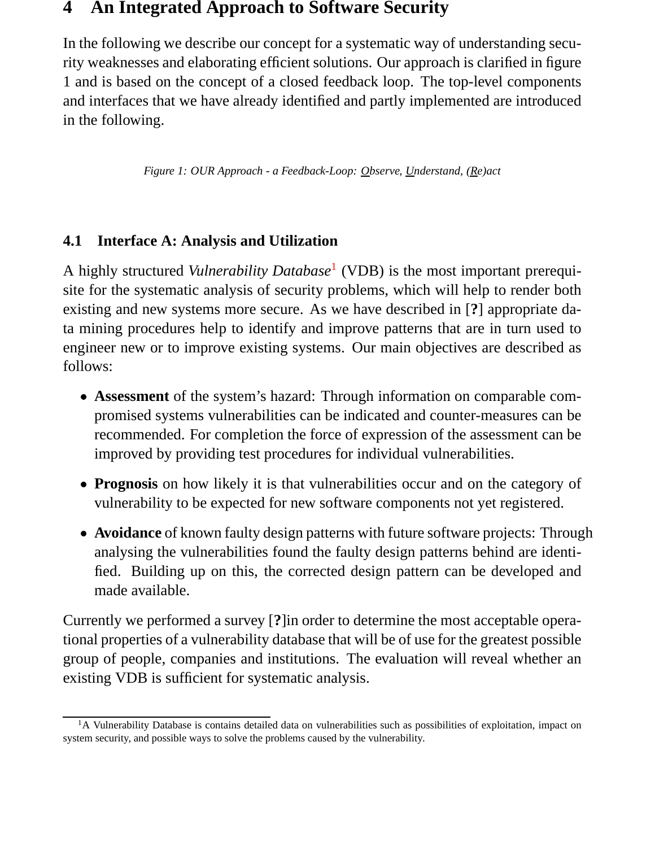#### **4 An Integrated Approach to Software Security**

In the following we describe our concept for a systematic way of understanding security weaknesses and elaborating efficient solutions. Our approach is clarified in figure 1 and is based on the concept of a closed feedback loop. The top-level components and interfaces that we have already identified and partly implemented are introduced in the following.

*Figure 1: OUR Approach - a Feedback-Loop: Observe, Understand, (Re)act*

#### **4.1 Interface A: Analysis and Utilization**

A highly structured *Vulnerability Database*<sup>1</sup> (VDB) is the most important prerequisite for the systematic analysis of security problems, which will help to render both existing and new systems more secure. As we have described in [**?**] appropriate data mining procedures help to identify and improve patterns that are in turn used to engineer new or to improve existing systems. Our main objectives are described as follows:

- **Assessment** of the system's hazard: Through information on comparable compromised systems vulnerabilities can be indicated and counter-measures can be recommended. For completion the force of expression of the assessment can be improved by providing test procedures for individual vulnerabilities.
- **Prognosis** on how likely it is that vulnerabilities occur and on the category of vulnerability to be expected for new software components not yet registered.
- **Avoidance** of known faulty design patterns with future software projects: Through analysing the vulnerabilities found the faulty design patterns behind are identified. Building up on this, the corrected design pattern can be developed and made available.

Currently we performed a survey [**?**]in order to determine the most acceptable operational properties of a vulnerability database that will be of use for the greatest possible group of people, companies and institutions. The evaluation will reveal whether an existing VDB is sufficient for systematic analysis.

<sup>&</sup>lt;sup>1</sup>A Vulnerability Database is contains detailed data on vulnerabilities such as possibilities of exploitation, impact on system security, and possible ways to solve the problems caused by the vulnerability.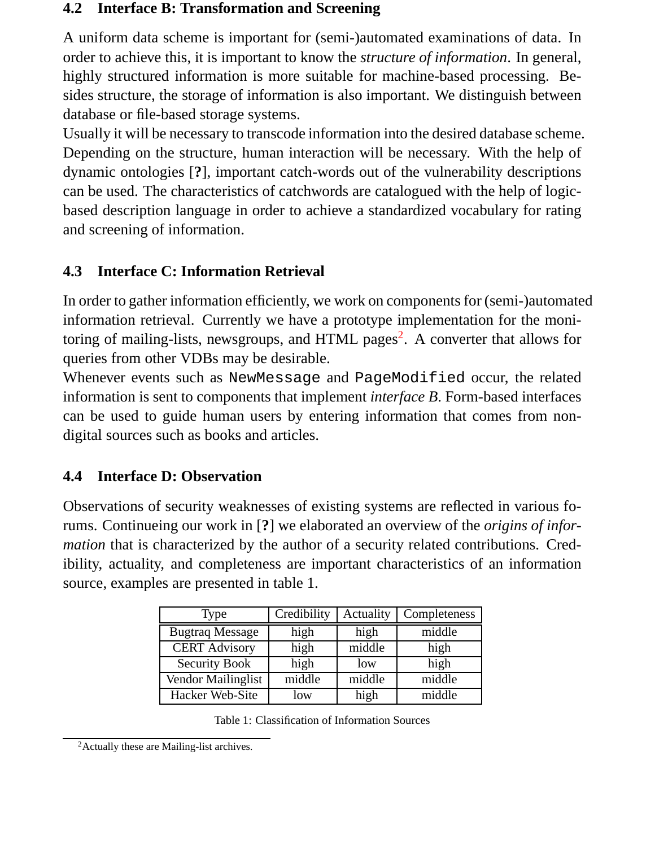#### **4.2 Interface B: Transformation and Screening**

A uniform data scheme is important for (semi-)automated examinations of data. In order to achieve this, it is important to know the *structure of information*. In general, highly structured information is more suitable for machine-based processing. Besides structure, the storage of information is also important. We distinguish between database or file-based storage systems.

Usually it will be necessary to transcode information into the desired database scheme. Depending on the structure, human interaction will be necessary. With the help of dynamic ontologies [**?**], important catch-words out of the vulnerability descriptions can be used. The characteristics of catchwords are catalogued with the help of logicbased description language in order to achieve a standardized vocabulary for rating and screening of information.

#### **4.3 Interface C: Information Retrieval**

In order to gather information efficiently, we work on components for (semi-)automated information retrieval. Currently we have a prototype implementation for the monitoring of mailing-lists, newsgroups, and HTML pages<sup>2</sup>. A converter that allows for queries from other VDBs may be desirable.

Whenever events such as NewMessage and PageModified occur, the related information is sent to components that implement *interface B*. Form-based interfaces can be used to guide human users by entering information that comes from nondigital sources such as books and articles.

#### **4.4 Interface D: Observation**

Observations of security weaknesses of existing systems are reflected in various forums. Continueing our work in [**?**] we elaborated an overview of the *origins of information* that is characterized by the author of a security related contributions. Credibility, actuality, and completeness are important characteristics of an information source, examples are presented in table 1.

| Type                   | Credibility | Actuality | Completeness |
|------------------------|-------------|-----------|--------------|
| <b>Bugtraq Message</b> | high        | high      | middle       |
| <b>CERT</b> Advisory   | high        | middle    | high         |
| <b>Security Book</b>   | high        | low       | high         |
| Vendor Mailinglist     | middle      | middle    | middle       |
| Hacker Web-Site        | low         | high      | middle       |

Table 1: Classification of Information Sources

<sup>&</sup>lt;sup>2</sup> Actually these are Mailing-list archives.